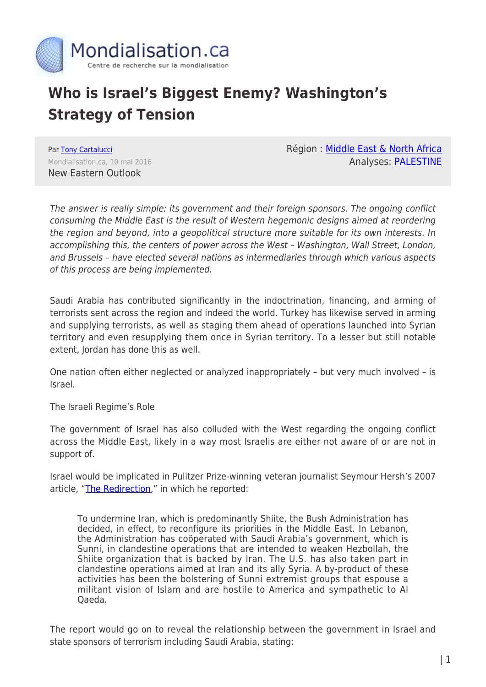

## **Who is Israel's Biggest Enemy? Washington's Strategy of Tension**

Par [Tony Cartalucci](https://www.mondialisation.ca/author/tony-cartalucci) Mondialisation.ca, 10 mai 2016 New Eastern Outlook

Région : [Middle East & North Africa](https://www.mondialisation.ca/region/middle-east) Analyses: [PALESTINE](https://www.mondialisation.ca/indepthreport/palestine)

The answer is really simple: its government and their foreign sponsors. The ongoing conflict consuming the Middle East is the result of Western hegemonic designs aimed at reordering the region and beyond, into a geopolitical structure more suitable for its own interests. In accomplishing this, the centers of power across the West – Washington, Wall Street, London, and Brussels – have elected several nations as intermediaries through which various aspects of this process are being implemented.

Saudi Arabia has contributed significantly in the indoctrination, financing, and arming of terrorists sent across the region and indeed the world. Turkey has likewise served in arming and supplying terrorists, as well as staging them ahead of operations launched into Syrian territory and even resupplying them once in Syrian territory. To a lesser but still notable extent, Jordan has done this as well.

One nation often either neglected or analyzed inappropriately – but very much involved – is Israel.

The Israeli Regime's Role

The government of Israel has also colluded with the West regarding the ongoing conflict across the Middle East, likely in a way most Israelis are either not aware of or are not in support of.

Israel would be implicated in Pulitzer Prize-winning veteran journalist Seymour Hersh's 2007 article, "[The Redirection,](http://www.newyorker.com/magazine/2007/03/05/the-redirection)" in which he reported:

To undermine Iran, which is predominantly Shiite, the Bush Administration has decided, in effect, to reconfigure its priorities in the Middle East. In Lebanon, the Administration has coöperated with Saudi Arabia's government, which is Sunni, in clandestine operations that are intended to weaken Hezbollah, the Shiite organization that is backed by Iran. The U.S. has also taken part in clandestine operations aimed at Iran and its ally Syria. A by-product of these activities has been the bolstering of Sunni extremist groups that espouse a militant vision of Islam and are hostile to America and sympathetic to Al Qaeda.

The report would go on to reveal the relationship between the government in Israel and state sponsors of terrorism including Saudi Arabia, stating: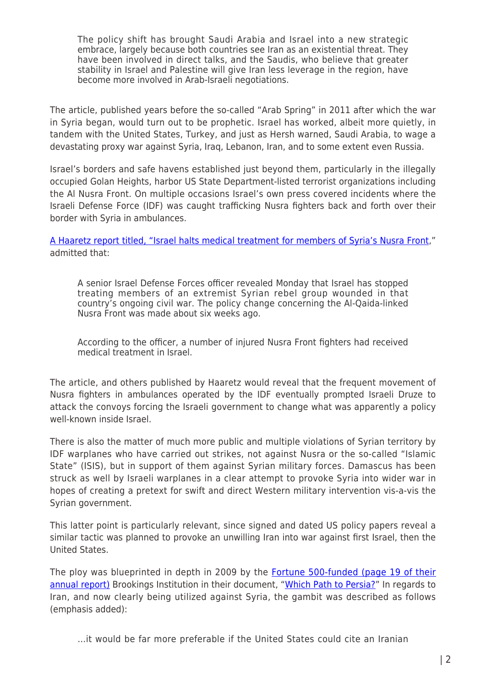The policy shift has brought Saudi Arabia and Israel into a new strategic embrace, largely because both countries see Iran as an existential threat. They have been involved in direct talks, and the Saudis, who believe that greater stability in Israel and Palestine will give Iran less leverage in the region, have become more involved in Arab-Israeli negotiations.

The article, published years before the so-called "Arab Spring" in 2011 after which the war in Syria began, would turn out to be prophetic. Israel has worked, albeit more quietly, in tandem with the United States, Turkey, and just as Hersh warned, Saudi Arabia, to wage a devastating proxy war against Syria, Iraq, Lebanon, Iran, and to some extent even Russia.

Israel's borders and safe havens established just beyond them, particularly in the illegally occupied Golan Heights, harbor US State Department-listed terrorist organizations including the Al Nusra Front. On multiple occasions Israel's own press covered incidents where the Israeli Defense Force (IDF) was caught trafficking Nusra fighters back and forth over their border with Syria in ambulances.

[A Haaretz report titled, "](https://3.bp.blogspot.com/-Wxt6REc7NtU/VwZ5IZrZHwI/AAAAAAAANGE/dyHoQ7dfr-Ec_vR5SB7WtEvZp4yb_9bnA/s1600/Israel_us_flags.jpg)[Israel halts medical treatment for members of Syria's Nusra Front,](http://www.haaretz.com/news/diplomacy-defense/1.666961)" admitted that:

A senior Israel Defense Forces officer revealed Monday that Israel has stopped treating members of an extremist Syrian rebel group wounded in that country's ongoing civil war. The policy change concerning the Al-Qaida-linked Nusra Front was made about six weeks ago.

According to the officer, a number of injured Nusra Front fighters had received medical treatment in Israel.

The article, and others published by Haaretz would reveal that the frequent movement of Nusra fighters in ambulances operated by the IDF eventually prompted Israeli Druze to attack the convoys forcing the Israeli government to change what was apparently a policy well-known inside Israel

There is also the matter of much more public and multiple violations of Syrian territory by IDF warplanes who have carried out strikes, not against Nusra or the so-called "Islamic State" (ISIS), but in support of them against Syrian military forces. Damascus has been struck as well by Israeli warplanes in a clear attempt to provoke Syria into wider war in hopes of creating a pretext for swift and direct Western military intervention vis-a-vis the Syrian government.

This latter point is particularly relevant, since signed and dated US policy papers reveal a similar tactic was planned to provoke an unwilling Iran into war against first Israel, then the United States.

The ploy was blueprinted in depth in 2009 by the [Fortune 500-funded \(page 19 of their](http://www.scribd.com/doc/121406132/2010-Brookings-Institution-Annual-Report) [annual report\)](http://www.scribd.com/doc/121406132/2010-Brookings-Institution-Annual-Report) Brookings Institution in their document, ["Which Path to Persia?](http://www.scribd.com/doc/108902116/Brookings-Institution-s-Which-Path-to-Persia-Report)" In regards to Iran, and now clearly being utilized against Syria, the gambit was described as follows (emphasis added):

…it would be far more preferable if the United States could cite an Iranian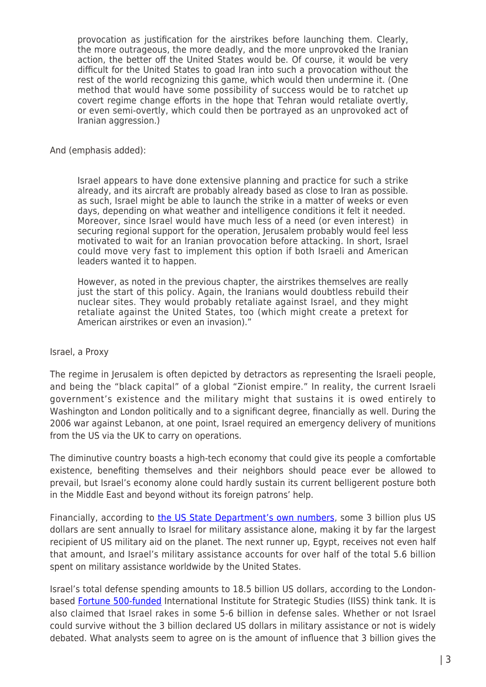provocation as justification for the airstrikes before launching them. Clearly, the more outrageous, the more deadly, and the more unprovoked the Iranian action, the better off the United States would be. Of course, it would be very difficult for the United States to goad Iran into such a provocation without the rest of the world recognizing this game, which would then undermine it. (One method that would have some possibility of success would be to ratchet up covert regime change efforts in the hope that Tehran would retaliate overtly, or even semi-overtly, which could then be portrayed as an unprovoked act of Iranian aggression.)

And (emphasis added):

Israel appears to have done extensive planning and practice for such a strike already, and its aircraft are probably already based as close to Iran as possible. as such, Israel might be able to launch the strike in a matter of weeks or even days, depending on what weather and intelligence conditions it felt it needed. Moreover, since Israel would have much less of a need (or even interest) in securing regional support for the operation, Jerusalem probably would feel less motivated to wait for an Iranian provocation before attacking. In short, Israel could move very fast to implement this option if both Israeli and American leaders wanted it to happen.

However, as noted in the previous chapter, the airstrikes themselves are really just the start of this policy. Again, the Iranians would doubtless rebuild their nuclear sites. They would probably retaliate against Israel, and they might retaliate against the United States, too (which might create a pretext for American airstrikes or even an invasion)."

## Israel, a Proxy

The regime in Jerusalem is often depicted by detractors as representing the Israeli people, and being the "black capital" of a global "Zionist empire." In reality, the current Israeli government's existence and the military might that sustains it is owed entirely to Washington and London politically and to a significant degree, financially as well. During the 2006 war against Lebanon, at one point, Israel required an emergency delivery of munitions from the US via the UK to carry on operations.

The diminutive country boasts a high-tech economy that could give its people a comfortable existence, benefiting themselves and their neighbors should peace ever be allowed to prevail, but Israel's economy alone could hardly sustain its current belligerent posture both in the Middle East and beyond without its foreign patrons' help.

Financially, according to [the US State Department's own numbers,](http://www.state.gov/t/pm/ppa/sat/c14560.htm) some 3 billion plus US dollars are sent annually to Israel for military assistance alone, making it by far the largest recipient of US military aid on the planet. The next runner up, Egypt, receives not even half that amount, and Israel's military assistance accounts for over half of the total 5.6 billion spent on military assistance worldwide by the United States.

Israel's total defense spending amounts to 18.5 billion US dollars, according to the Londonbased [Fortune 500-funded](http://www.iiss.org/en/about-s-us/our-s-funding) International Institute for Strategic Studies (IISS) think tank. It is also claimed that Israel rakes in some 5-6 billion in defense sales. Whether or not Israel could survive without the 3 billion declared US dollars in military assistance or not is widely debated. What analysts seem to agree on is the amount of influence that 3 billion gives the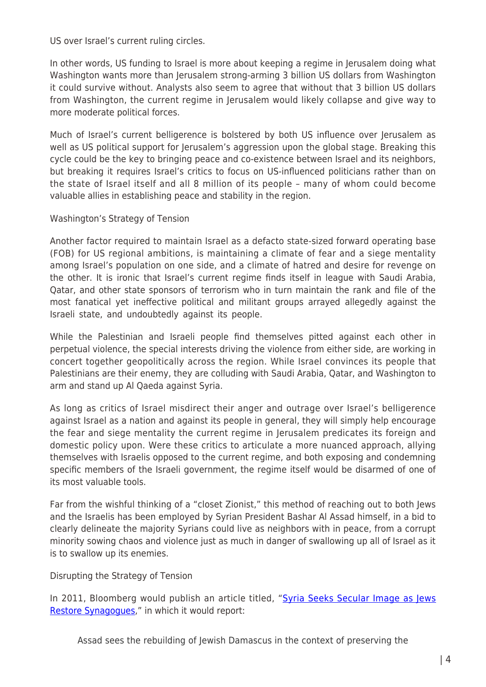US over Israel's current ruling circles.

In other words, US funding to Israel is more about keeping a regime in Jerusalem doing what Washington wants more than Jerusalem strong-arming 3 billion US dollars from Washington it could survive without. Analysts also seem to agree that without that 3 billion US dollars from Washington, the current regime in Jerusalem would likely collapse and give way to more moderate political forces.

Much of Israel's current belligerence is bolstered by both US influence over Jerusalem as well as US political support for Jerusalem's aggression upon the global stage. Breaking this cycle could be the key to bringing peace and co-existence between Israel and its neighbors, but breaking it requires Israel's critics to focus on US-influenced politicians rather than on the state of Israel itself and all 8 million of its people – many of whom could become valuable allies in establishing peace and stability in the region.

Washington's Strategy of Tension

Another factor required to maintain Israel as a defacto state-sized forward operating base (FOB) for US regional ambitions, is maintaining a climate of fear and a siege mentality among Israel's population on one side, and a climate of hatred and desire for revenge on the other. It is ironic that Israel's current regime finds itself in league with Saudi Arabia, Qatar, and other state sponsors of terrorism who in turn maintain the rank and file of the most fanatical yet ineffective political and militant groups arrayed allegedly against the Israeli state, and undoubtedly against its people.

While the Palestinian and Israeli people find themselves pitted against each other in perpetual violence, the special interests driving the violence from either side, are working in concert together geopolitically across the region. While Israel convinces its people that Palestinians are their enemy, they are colluding with Saudi Arabia, Qatar, and Washington to arm and stand up Al Qaeda against Syria.

As long as critics of Israel misdirect their anger and outrage over Israel's belligerence against Israel as a nation and against its people in general, they will simply help encourage the fear and siege mentality the current regime in Jerusalem predicates its foreign and domestic policy upon. Were these critics to articulate a more nuanced approach, allying themselves with Israelis opposed to the current regime, and both exposing and condemning specific members of the Israeli government, the regime itself would be disarmed of one of its most valuable tools.

Far from the wishful thinking of a "closet Zionist," this method of reaching out to both Jews and the Israelis has been employed by Syrian President Bashar Al Assad himself, in a bid to clearly delineate the majority Syrians could live as neighbors with in peace, from a corrupt minority sowing chaos and violence just as much in danger of swallowing up all of Israel as it is to swallow up its enemies.

Disrupting the Strategy of Tension

In 2011, Bloomberg would publish an article titled, ["Syria Seeks Secular Image as Jews](http://www.bloomberg.com/news/articles/2011-02-06/damascus-jews-restore-synagogues-as-syria-seeks-secular-image) [Restore Synagogues,](http://www.bloomberg.com/news/articles/2011-02-06/damascus-jews-restore-synagogues-as-syria-seeks-secular-image)" in which it would report:

Assad sees the rebuilding of Jewish Damascus in the context of preserving the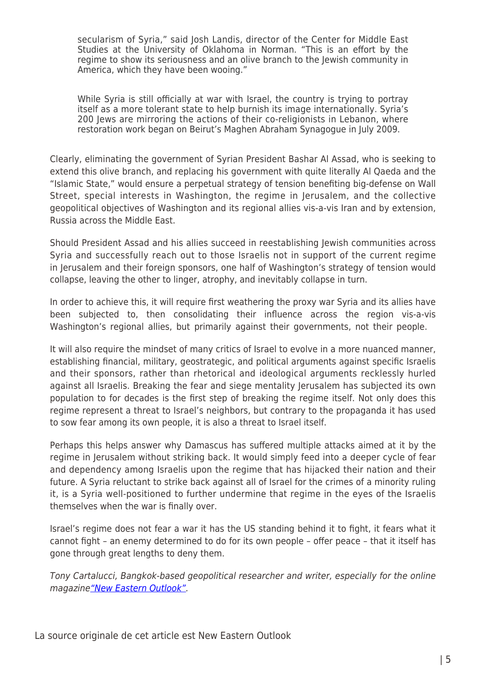secularism of Syria," said Josh Landis, director of the Center for Middle East Studies at the University of Oklahoma in Norman. "This is an effort by the regime to show its seriousness and an olive branch to the Jewish community in America, which they have been wooing."

While Syria is still officially at war with Israel, the country is trying to portray itself as a more tolerant state to help burnish its image internationally. Syria's 200 Jews are mirroring the actions of their co-religionists in Lebanon, where restoration work began on Beirut's Maghen Abraham Synagogue in July 2009.

Clearly, eliminating the government of Syrian President Bashar Al Assad, who is seeking to extend this olive branch, and replacing his government with quite literally Al Qaeda and the "Islamic State," would ensure a perpetual strategy of tension benefiting big-defense on Wall Street, special interests in Washington, the regime in Jerusalem, and the collective geopolitical objectives of Washington and its regional allies vis-a-vis Iran and by extension, Russia across the Middle East.

Should President Assad and his allies succeed in reestablishing Jewish communities across Syria and successfully reach out to those Israelis not in support of the current regime in Jerusalem and their foreign sponsors, one half of Washington's strategy of tension would collapse, leaving the other to linger, atrophy, and inevitably collapse in turn.

In order to achieve this, it will require first weathering the proxy war Syria and its allies have been subjected to, then consolidating their influence across the region vis-a-vis Washington's regional allies, but primarily against their governments, not their people.

It will also require the mindset of many critics of Israel to evolve in a more nuanced manner, establishing financial, military, geostrategic, and political arguments against specific Israelis and their sponsors, rather than rhetorical and ideological arguments recklessly hurled against all Israelis. Breaking the fear and siege mentality Jerusalem has subjected its own population to for decades is the first step of breaking the regime itself. Not only does this regime represent a threat to Israel's neighbors, but contrary to the propaganda it has used to sow fear among its own people, it is also a threat to Israel itself.

Perhaps this helps answer why Damascus has suffered multiple attacks aimed at it by the regime in Jerusalem without striking back. It would simply feed into a deeper cycle of fear and dependency among Israelis upon the regime that has hijacked their nation and their future. A Syria reluctant to strike back against all of Israel for the crimes of a minority ruling it, is a Syria well-positioned to further undermine that regime in the eyes of the Israelis themselves when the war is finally over.

Israel's regime does not fear a war it has the US standing behind it to fight, it fears what it cannot fight – an enemy determined to do for its own people – offer peace – that it itself has gone through great lengths to deny them.

Tony Cartalucci, Bangkok-based geopolitical researcher and writer, especially for the online magazine["New Eastern Outlook".](http://journal-neo.org/)

La source originale de cet article est New Eastern Outlook